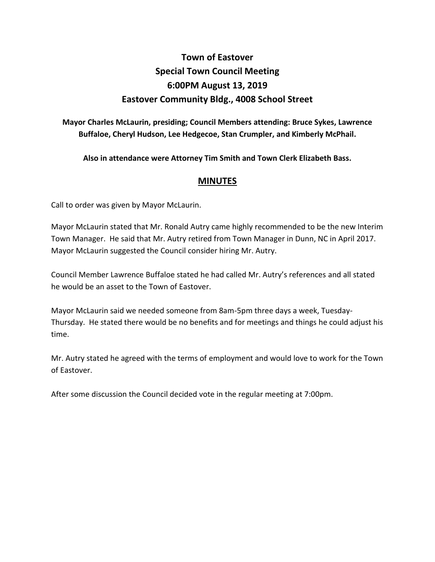## **Town of Eastover Special Town Council Meeting 6:00PM August 13, 2019 Eastover Community Bldg., 4008 School Street**

**Mayor Charles McLaurin, presiding; Council Members attending: Bruce Sykes, Lawrence Buffaloe, Cheryl Hudson, Lee Hedgecoe, Stan Crumpler, and Kimberly McPhail.**

**Also in attendance were Attorney Tim Smith and Town Clerk Elizabeth Bass.** 

## **MINUTES**

Call to order was given by Mayor McLaurin.

Mayor McLaurin stated that Mr. Ronald Autry came highly recommended to be the new Interim Town Manager. He said that Mr. Autry retired from Town Manager in Dunn, NC in April 2017. Mayor McLaurin suggested the Council consider hiring Mr. Autry.

Council Member Lawrence Buffaloe stated he had called Mr. Autry's references and all stated he would be an asset to the Town of Eastover.

Mayor McLaurin said we needed someone from 8am-5pm three days a week, Tuesday-Thursday. He stated there would be no benefits and for meetings and things he could adjust his time.

Mr. Autry stated he agreed with the terms of employment and would love to work for the Town of Eastover.

After some discussion the Council decided vote in the regular meeting at 7:00pm.